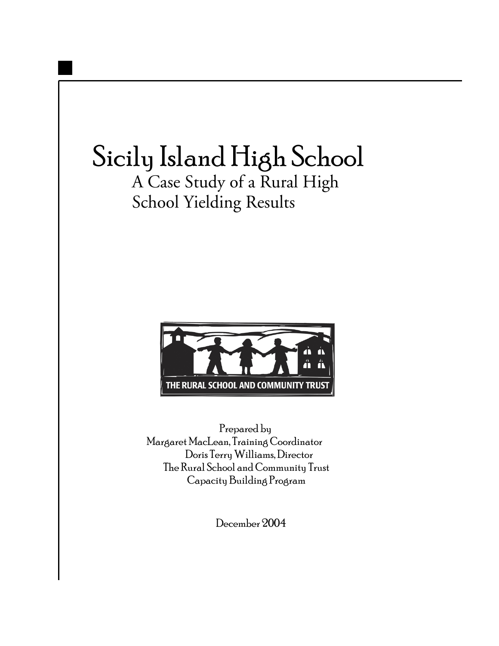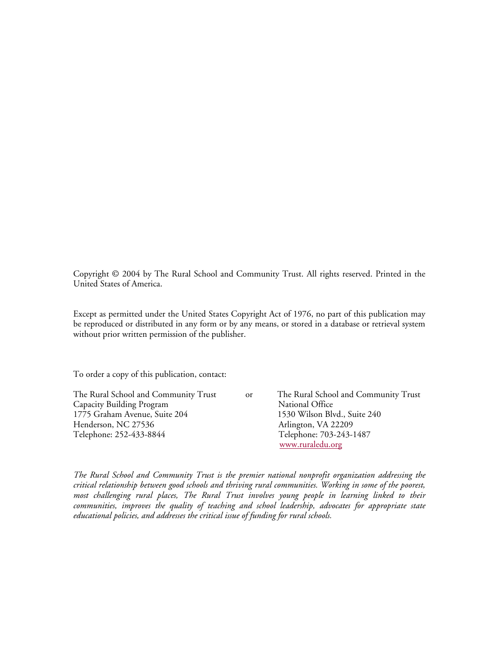Copyright © 2004 by The Rural School and Community Trust. All rights reserved. Printed in the United States of America.

Except as permitted under the United States Copyright Act of 1976, no part of this publication may be reproduced or distributed in any form or by any means, or stored in a database or retrieval system without prior written permission of the publisher.

To order a copy of this publication, contact:

Capacity Building Program National Office 1775 Graham Avenue, Suite 204 1530 Wilson Blvd., Suite 240 Henderson, NC 27536 Arlington, VA 22209 Telephone: 252-433-8844 Telephone: 703-243-1487

The Rural School and Community Trust or The Rural School and Community Trust www.ruraledu.org

*The Rural School and Community Trust is the premier national nonprofit organization addressing the critical relationship between good schools and thriving rural communities. Working in some of the poorest, most challenging rural places, The Rural Trust involves young people in learning linked to their communities, improves the quality of teaching and school leadership, advocates for appropriate state educational policies, and addresses the critical issue of funding for rural schools.*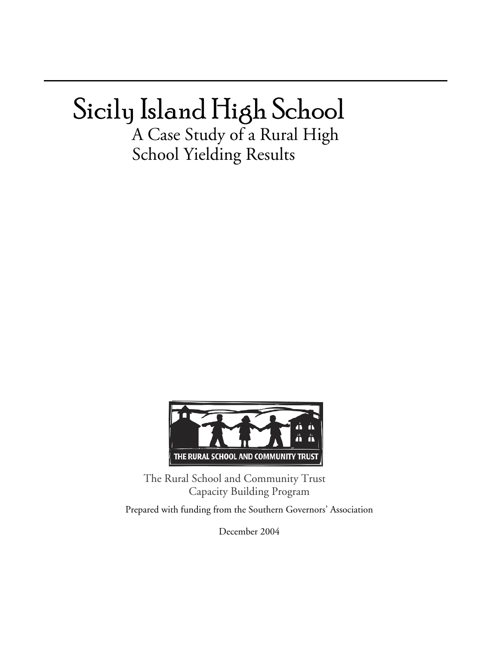# Sicily Island High School

A Case Study of a Rural High School Yielding Results



The Rural School and Community Trust Capacity Building Program

Prepared with funding from the Southern Governors' Association

December 2004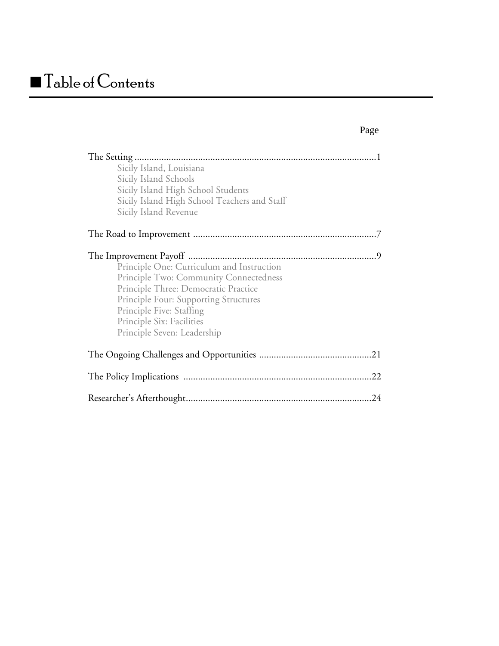# **Table of Contents**

| Sicily Island, Louisiana<br>Sicily Island Schools<br>Sicily Island High School Students<br>Sicily Island High School Teachers and Staff<br>Sicily Island Revenue                                                                                                    |
|---------------------------------------------------------------------------------------------------------------------------------------------------------------------------------------------------------------------------------------------------------------------|
|                                                                                                                                                                                                                                                                     |
| Principle One: Curriculum and Instruction<br>Principle Two: Community Connectedness<br>Principle Three: Democratic Practice<br><b>Principle Four: Supporting Structures</b><br>Principle Five: Staffing<br>Principle Six: Facilities<br>Principle Seven: Leadership |
|                                                                                                                                                                                                                                                                     |
|                                                                                                                                                                                                                                                                     |
| 24                                                                                                                                                                                                                                                                  |

#### Page **Page**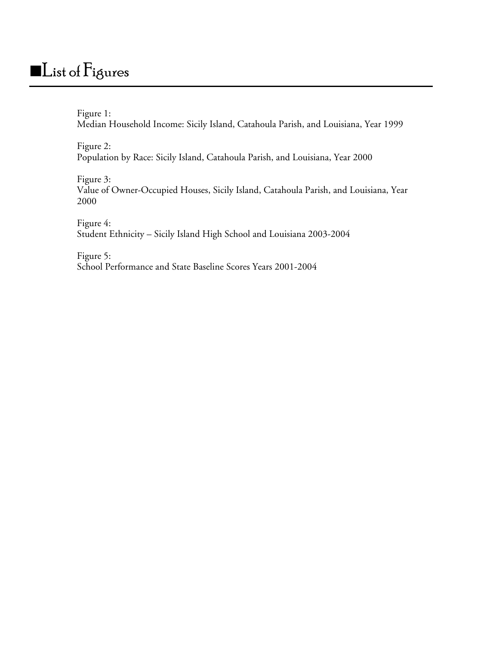## List of Figures

Figure 1: Median Household Income: Sicily Island, Catahoula Parish, and Louisiana, Year 1999

Figure 2: Population by Race: Sicily Island, Catahoula Parish, and Louisiana, Year 2000

Figure 3: Value of Owner-Occupied Houses, Sicily Island, Catahoula Parish, and Louisiana, Year 2000

Figure 4: Student Ethnicity – Sicily Island High School and Louisiana 2003-2004

Figure 5: School Performance and State Baseline Scores Years 2001-2004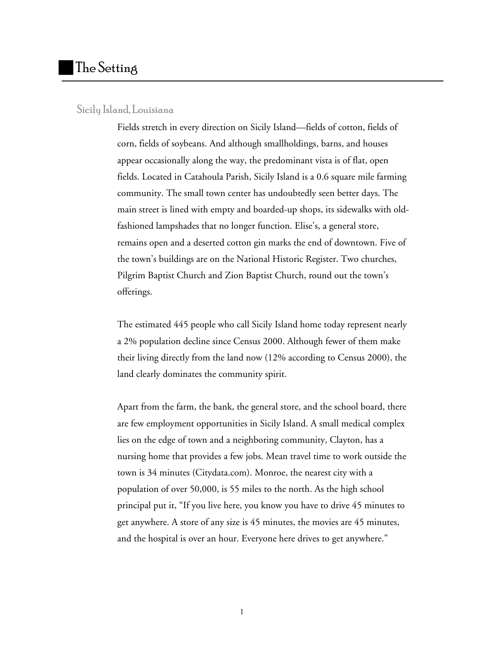#### Sicily Island, Louisiana

Fields stretch in every direction on Sicily Island—fields of cotton, fields of corn, fields of soybeans. And although smallholdings, barns, and houses appear occasionally along the way, the predominant vista is of flat, open fields. Located in Catahoula Parish, Sicily Island is a 0.6 square mile farming community. The small town center has undoubtedly seen better days. The main street is lined with empty and boarded-up shops, its sidewalks with oldfashioned lampshades that no longer function. Elise's, a general store, remains open and a deserted cotton gin marks the end of downtown. Five of the town's buildings are on the National Historic Register. Two churches, Pilgrim Baptist Church and Zion Baptist Church, round out the town's offerings.

The estimated 445 people who call Sicily Island home today represent nearly a 2% population decline since Census 2000. Although fewer of them make their living directly from the land now (12% according to Census 2000), the land clearly dominates the community spirit.

Apart from the farm, the bank, the general store, and the school board, there are few employment opportunities in Sicily Island. A small medical complex lies on the edge of town and a neighboring community, Clayton, has a nursing home that provides a few jobs. Mean travel time to work outside the town is 34 minutes (Citydata.com). Monroe, the nearest city with a population of over 50,000, is 55 miles to the north. As the high school principal put it, "If you live here, you know you have to drive 45 minutes to get anywhere. A store of any size is 45 minutes, the movies are 45 minutes, and the hospital is over an hour. Everyone here drives to get anywhere."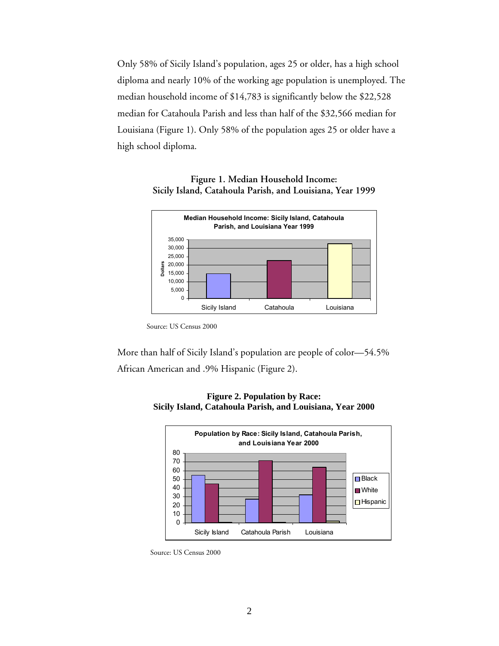Only 58% of Sicily Island's population, ages 25 or older, has a high school diploma and nearly 10% of the working age population is unemployed. The median household income of \$14,783 is significantly below the \$22,528 median for Catahoula Parish and less than half of the \$32,566 median for Louisiana (Figure 1). Only 58% of the population ages 25 or older have a high school diploma.

#### **Figure 1. Median Household Income: Sicily Island, Catahoula Parish, and Louisiana, Year 1999**



Source: US Census 2000

More than half of Sicily Island's population are people of color—54.5% African American and .9% Hispanic (Figure 2).



**Figure 2. Population by Race: Sicily Island, Catahoula Parish, and Louisiana, Year 2000** 

Source: US Census 2000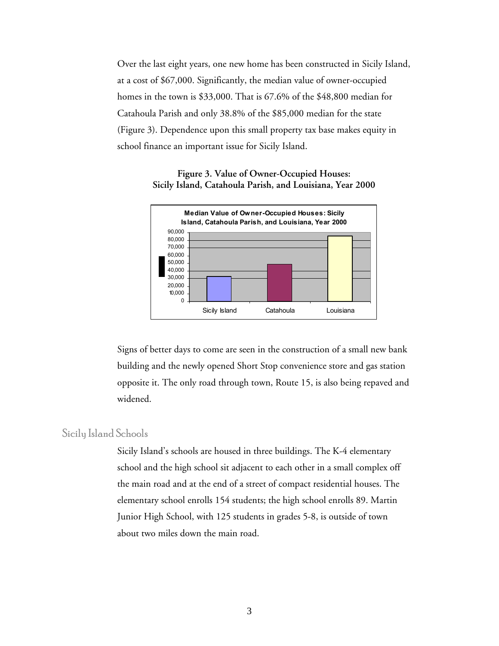Over the last eight years, one new home has been constructed in Sicily Island, at a cost of \$67,000. Significantly, the median value of owner-occupied homes in the town is \$33,000. That is 67.6% of the \$48,800 median for Catahoula Parish and only 38.8% of the \$85,000 median for the state (Figure 3). Dependence upon this small property tax base makes equity in school finance an important issue for Sicily Island.

#### **Figure 3. Value of Owner-Occupied Houses: Sicily Island, Catahoula Parish, and Louisiana, Year 2000**



Signs of better days to come are seen in the construction of a small new bank building and the newly opened Short Stop convenience store and gas station opposite it. The only road through town, Route 15, is also being repaved and widened.

#### Sicily Island Schools

Sicily Island's schools are housed in three buildings. The K-4 elementary school and the high school sit adjacent to each other in a small complex off the main road and at the end of a street of compact residential houses. The elementary school enrolls 154 students; the high school enrolls 89. Martin Junior High School, with 125 students in grades 5-8, is outside of town about two miles down the main road.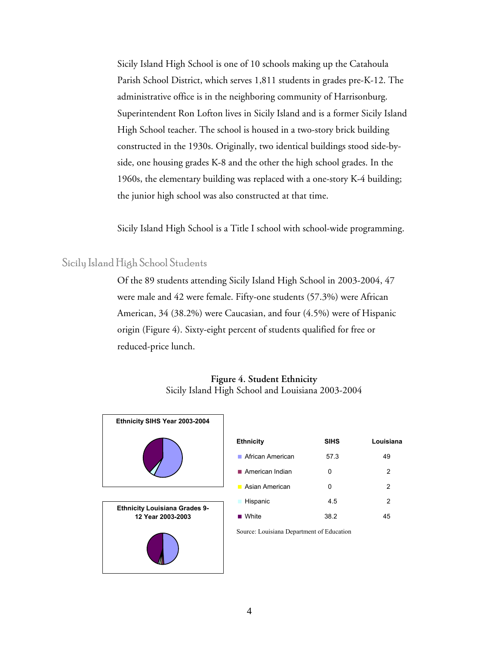Sicily Island High School is one of 10 schools making up the Catahoula Parish School District, which serves 1,811 students in grades pre-K-12. The administrative office is in the neighboring community of Harrisonburg. Superintendent Ron Lofton lives in Sicily Island and is a former Sicily Island High School teacher. The school is housed in a two-story brick building constructed in the 1930s. Originally, two identical buildings stood side-byside, one housing grades K-8 and the other the high school grades. In the 1960s, the elementary building was replaced with a one-story K-4 building; the junior high school was also constructed at that time.

Sicily Island High School is a Title I school with school-wide programming.

#### Sicily Island High School Students

Of the 89 students attending Sicily Island High School in 2003-2004, 47 were male and 42 were female. Fifty-one students (57.3%) were African American, 34 (38.2%) were Caucasian, and four (4.5%) were of Hispanic origin (Figure 4). Sixty-eight percent of students qualified for free or reduced-price lunch.

#### **Figure 4. Student Ethnicity** Sicily Island High School and Louisiana 2003-2004



| <b>Ethnicity</b>               | <b>SIHS</b> | Louisiana |
|--------------------------------|-------------|-----------|
| ■ African American             | 57.3        | 49        |
| $\blacksquare$ American Indian | 0           | 2         |
| Asian American                 | 0           | 2         |
| Hispanic                       | 4.5         | 2         |
| White                          | 38.2        | 45        |

Source: Louisiana Department of Education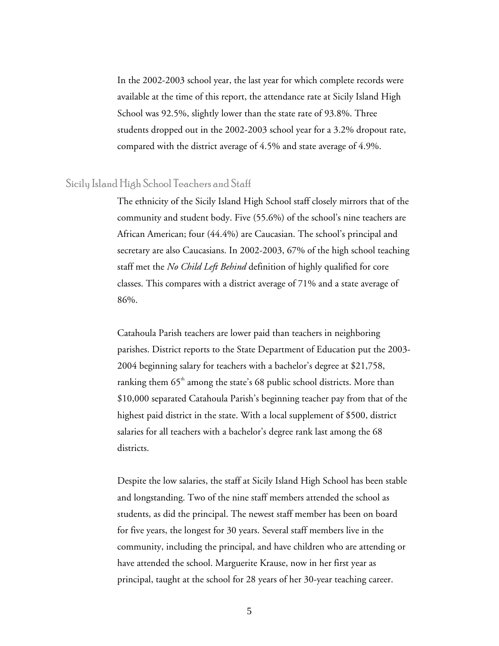In the 2002-2003 school year, the last year for which complete records were available at the time of this report, the attendance rate at Sicily Island High School was 92.5%, slightly lower than the state rate of 93.8%. Three students dropped out in the 2002-2003 school year for a 3.2% dropout rate, compared with the district average of 4.5% and state average of 4.9%.

#### Sicily Island High School Teachers and Staff

The ethnicity of the Sicily Island High School staff closely mirrors that of the community and student body. Five (55.6%) of the school's nine teachers are African American; four (44.4%) are Caucasian. The school's principal and secretary are also Caucasians. In 2002-2003, 67% of the high school teaching staff met the *No Child Left Behind* definition of highly qualified for core classes. This compares with a district average of 71% and a state average of 86%.

Catahoula Parish teachers are lower paid than teachers in neighboring parishes. District reports to the State Department of Education put the 2003- 2004 beginning salary for teachers with a bachelor's degree at \$21,758, ranking them  $65<sup>th</sup>$  among the state's 68 public school districts. More than \$10,000 separated Catahoula Parish's beginning teacher pay from that of the highest paid district in the state. With a local supplement of \$500, district salaries for all teachers with a bachelor's degree rank last among the 68 districts.

Despite the low salaries, the staff at Sicily Island High School has been stable and longstanding. Two of the nine staff members attended the school as students, as did the principal. The newest staff member has been on board for five years, the longest for 30 years. Several staff members live in the community, including the principal, and have children who are attending or have attended the school. Marguerite Krause, now in her first year as principal, taught at the school for 28 years of her 30-year teaching career.

5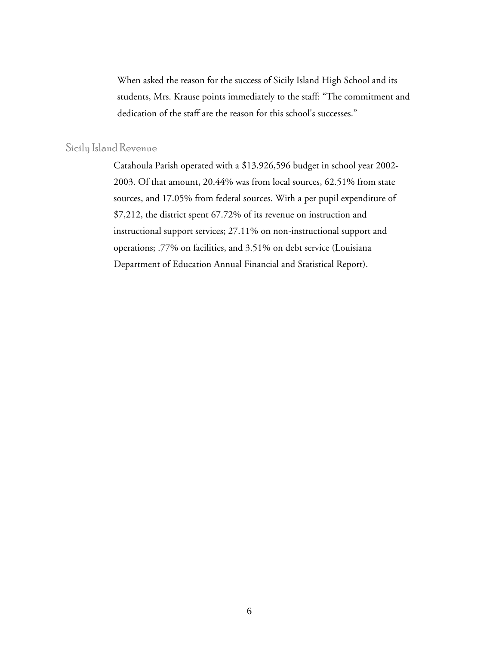When asked the reason for the success of Sicily Island High School and its students, Mrs. Krause points immediately to the staff: "The commitment and dedication of the staff are the reason for this school's successes."

#### Sicily Island Revenue

Catahoula Parish operated with a \$13,926,596 budget in school year 2002- 2003. Of that amount, 20.44% was from local sources, 62.51% from state sources, and 17.05% from federal sources. With a per pupil expenditure of \$7,212, the district spent 67.72% of its revenue on instruction and instructional support services; 27.11% on non-instructional support and operations; .77% on facilities, and 3.51% on debt service (Louisiana Department of Education Annual Financial and Statistical Report).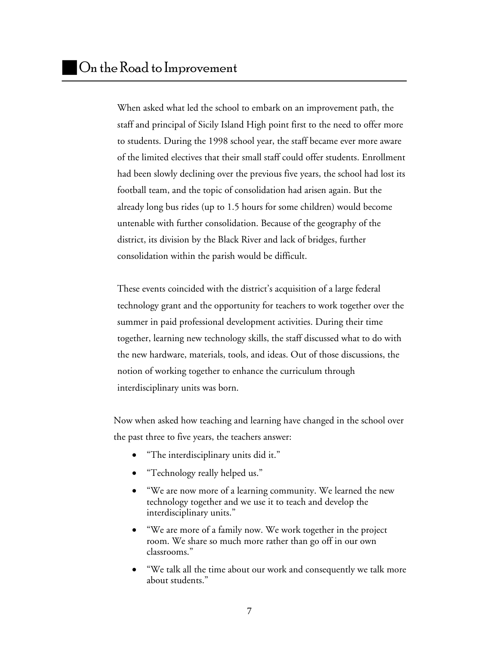When asked what led the school to embark on an improvement path, the staff and principal of Sicily Island High point first to the need to offer more to students. During the 1998 school year, the staff became ever more aware of the limited electives that their small staff could offer students. Enrollment had been slowly declining over the previous five years, the school had lost its football team, and the topic of consolidation had arisen again. But the already long bus rides (up to 1.5 hours for some children) would become untenable with further consolidation. Because of the geography of the district, its division by the Black River and lack of bridges, further consolidation within the parish would be difficult.

These events coincided with the district's acquisition of a large federal technology grant and the opportunity for teachers to work together over the summer in paid professional development activities. During their time together, learning new technology skills, the staff discussed what to do with the new hardware, materials, tools, and ideas. Out of those discussions, the notion of working together to enhance the curriculum through interdisciplinary units was born.

Now when asked how teaching and learning have changed in the school over the past three to five years, the teachers answer:

- "The interdisciplinary units did it."
- "Technology really helped us."
- "We are now more of a learning community. We learned the new technology together and we use it to teach and develop the interdisciplinary units."
- "We are more of a family now. We work together in the project room. We share so much more rather than go off in our own classrooms."
- "We talk all the time about our work and consequently we talk more about students."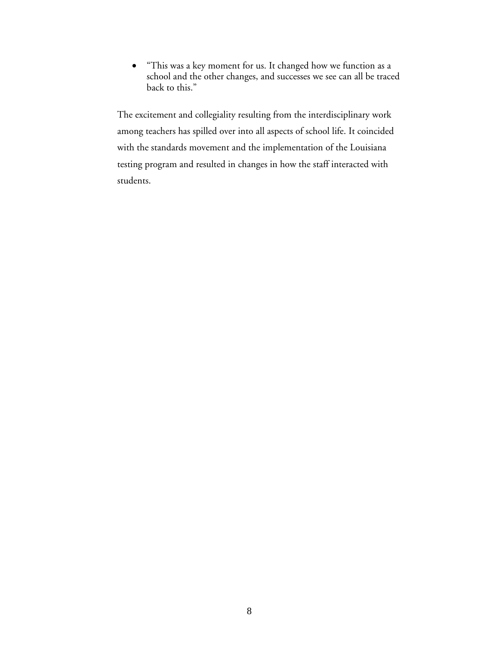• "This was a key moment for us. It changed how we function as a school and the other changes, and successes we see can all be traced back to this."

The excitement and collegiality resulting from the interdisciplinary work among teachers has spilled over into all aspects of school life. It coincided with the standards movement and the implementation of the Louisiana testing program and resulted in changes in how the staff interacted with students.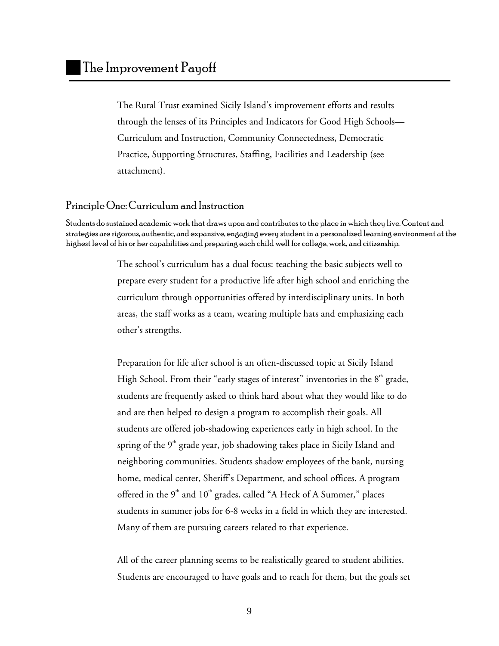The Rural Trust examined Sicily Island's improvement efforts and results through the lenses of its Principles and Indicators for Good High Schools— Curriculum and Instruction, Community Connectedness, Democratic Practice, Supporting Structures, Staffing, Facilities and Leadership (see attachment).

#### Principle One: Curriculum and Instruction

Students do sustained academic work that draws upon and contributes to the place in which they live. Content and strategies are rigorous, authentic, and expansive, engaging every student in a personalized learning environment at the highest level of his or her capabilities and preparing each child well for college, work, and citizenship.

> The school's curriculum has a dual focus: teaching the basic subjects well to prepare every student for a productive life after high school and enriching the curriculum through opportunities offered by interdisciplinary units. In both areas, the staff works as a team, wearing multiple hats and emphasizing each other's strengths.

> Preparation for life after school is an often-discussed topic at Sicily Island High School. From their "early stages of interest" inventories in the  $8<sup>th</sup>$  grade, students are frequently asked to think hard about what they would like to do and are then helped to design a program to accomplish their goals. All students are offered job-shadowing experiences early in high school. In the spring of the  $9<sup>th</sup>$  grade year, job shadowing takes place in Sicily Island and neighboring communities. Students shadow employees of the bank, nursing home, medical center, Sheriff's Department, and school offices. A program offered in the  $9<sup>th</sup>$  and  $10<sup>th</sup>$  grades, called "A Heck of A Summer," places students in summer jobs for 6-8 weeks in a field in which they are interested. Many of them are pursuing careers related to that experience.

> All of the career planning seems to be realistically geared to student abilities. Students are encouraged to have goals and to reach for them, but the goals set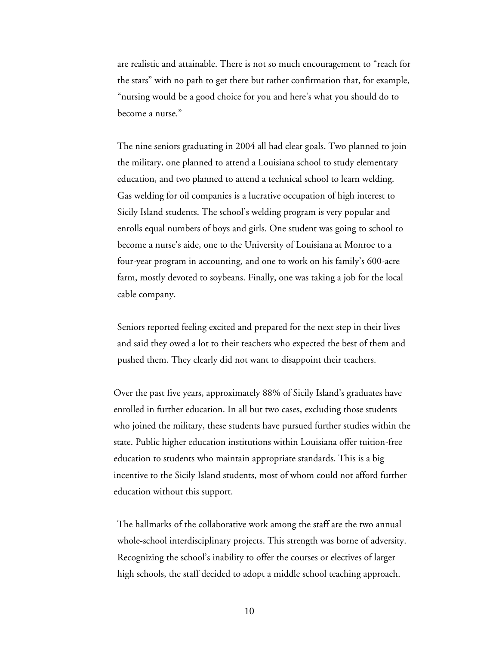are realistic and attainable. There is not so much encouragement to "reach for the stars" with no path to get there but rather confirmation that, for example, "nursing would be a good choice for you and here's what you should do to become a nurse."

The nine seniors graduating in 2004 all had clear goals. Two planned to join the military, one planned to attend a Louisiana school to study elementary education, and two planned to attend a technical school to learn welding. Gas welding for oil companies is a lucrative occupation of high interest to Sicily Island students. The school's welding program is very popular and enrolls equal numbers of boys and girls. One student was going to school to become a nurse's aide, one to the University of Louisiana at Monroe to a four-year program in accounting, and one to work on his family's 600-acre farm, mostly devoted to soybeans. Finally, one was taking a job for the local cable company.

Seniors reported feeling excited and prepared for the next step in their lives and said they owed a lot to their teachers who expected the best of them and pushed them. They clearly did not want to disappoint their teachers.

Over the past five years, approximately 88% of Sicily Island's graduates have enrolled in further education. In all but two cases, excluding those students who joined the military, these students have pursued further studies within the state. Public higher education institutions within Louisiana offer tuition-free education to students who maintain appropriate standards. This is a big incentive to the Sicily Island students, most of whom could not afford further education without this support.

The hallmarks of the collaborative work among the staff are the two annual whole-school interdisciplinary projects. This strength was borne of adversity. Recognizing the school's inability to offer the courses or electives of larger high schools, the staff decided to adopt a middle school teaching approach.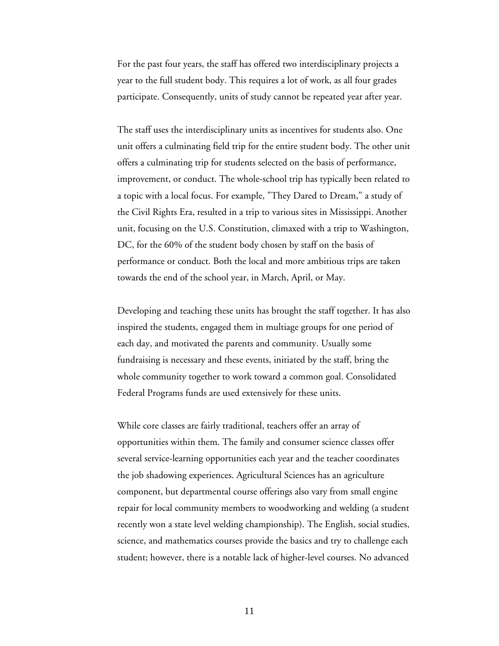For the past four years, the staff has offered two interdisciplinary projects a year to the full student body. This requires a lot of work, as all four grades participate. Consequently, units of study cannot be repeated year after year.

The staff uses the interdisciplinary units as incentives for students also. One unit offers a culminating field trip for the entire student body. The other unit offers a culminating trip for students selected on the basis of performance, improvement, or conduct. The whole-school trip has typically been related to a topic with a local focus. For example, "They Dared to Dream," a study of the Civil Rights Era, resulted in a trip to various sites in Mississippi. Another unit, focusing on the U.S. Constitution, climaxed with a trip to Washington, DC, for the 60% of the student body chosen by staff on the basis of performance or conduct. Both the local and more ambitious trips are taken towards the end of the school year, in March, April, or May.

Developing and teaching these units has brought the staff together. It has also inspired the students, engaged them in multiage groups for one period of each day, and motivated the parents and community. Usually some fundraising is necessary and these events, initiated by the staff, bring the whole community together to work toward a common goal. Consolidated Federal Programs funds are used extensively for these units.

While core classes are fairly traditional, teachers offer an array of opportunities within them. The family and consumer science classes offer several service-learning opportunities each year and the teacher coordinates the job shadowing experiences. Agricultural Sciences has an agriculture component, but departmental course offerings also vary from small engine repair for local community members to woodworking and welding (a student recently won a state level welding championship). The English, social studies, science, and mathematics courses provide the basics and try to challenge each student; however, there is a notable lack of higher-level courses. No advanced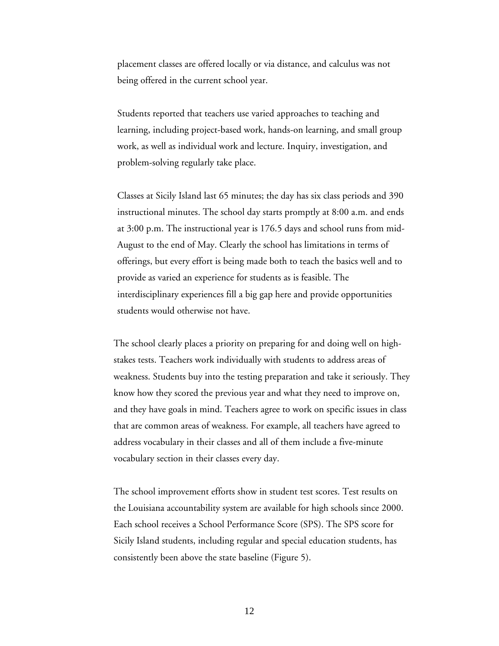placement classes are offered locally or via distance, and calculus was not being offered in the current school year.

Students reported that teachers use varied approaches to teaching and learning, including project-based work, hands-on learning, and small group work, as well as individual work and lecture. Inquiry, investigation, and problem-solving regularly take place.

Classes at Sicily Island last 65 minutes; the day has six class periods and 390 instructional minutes. The school day starts promptly at 8:00 a.m. and ends at 3:00 p.m. The instructional year is 176.5 days and school runs from mid-August to the end of May. Clearly the school has limitations in terms of offerings, but every effort is being made both to teach the basics well and to provide as varied an experience for students as is feasible. The interdisciplinary experiences fill a big gap here and provide opportunities students would otherwise not have.

The school clearly places a priority on preparing for and doing well on highstakes tests. Teachers work individually with students to address areas of weakness. Students buy into the testing preparation and take it seriously. They know how they scored the previous year and what they need to improve on, and they have goals in mind. Teachers agree to work on specific issues in class that are common areas of weakness. For example, all teachers have agreed to address vocabulary in their classes and all of them include a five-minute vocabulary section in their classes every day.

The school improvement efforts show in student test scores. Test results on the Louisiana accountability system are available for high schools since 2000. Each school receives a School Performance Score (SPS). The SPS score for Sicily Island students, including regular and special education students, has consistently been above the state baseline (Figure 5).

12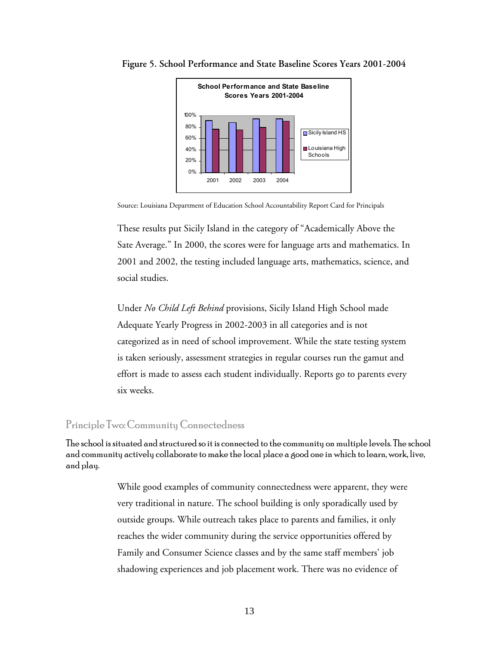



Source: Louisiana Department of Education School Accountability Report Card for Principals

These results put Sicily Island in the category of "Academically Above the Sate Average." In 2000, the scores were for language arts and mathematics. In 2001 and 2002, the testing included language arts, mathematics, science, and social studies.

Under *No Child Left Behind* provisions, Sicily Island High School made Adequate Yearly Progress in 2002-2003 in all categories and is not categorized as in need of school improvement. While the state testing system is taken seriously, assessment strategies in regular courses run the gamut and effort is made to assess each student individually. Reports go to parents every six weeks.

#### Principle Two: Community Connectedness

The school is situated and structured so it is connected to the community on multiple levels. The school and community actively collaborate to make the local place a good one in which to learn, work, live, and play.

> While good examples of community connectedness were apparent, they were very traditional in nature. The school building is only sporadically used by outside groups. While outreach takes place to parents and families, it only reaches the wider community during the service opportunities offered by Family and Consumer Science classes and by the same staff members' job shadowing experiences and job placement work. There was no evidence of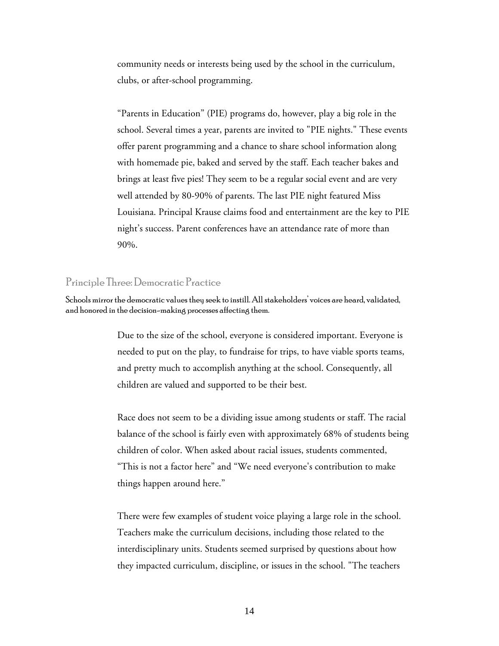community needs or interests being used by the school in the curriculum, clubs, or after-school programming.

"Parents in Education" (PIE) programs do, however, play a big role in the school. Several times a year, parents are invited to "PIE nights." These events offer parent programming and a chance to share school information along with homemade pie, baked and served by the staff. Each teacher bakes and brings at least five pies! They seem to be a regular social event and are very well attended by 80-90% of parents. The last PIE night featured Miss Louisiana. Principal Krause claims food and entertainment are the key to PIE night's success. Parent conferences have an attendance rate of more than 90%.

#### Principle Three: Democratic Practice

Schools mirror the democratic values they seek to instill. All stakeholders' voices are heard, validated, and honored in the decision-making processes affecting them.

> Due to the size of the school, everyone is considered important. Everyone is needed to put on the play, to fundraise for trips, to have viable sports teams, and pretty much to accomplish anything at the school. Consequently, all children are valued and supported to be their best.

Race does not seem to be a dividing issue among students or staff. The racial balance of the school is fairly even with approximately 68% of students being children of color. When asked about racial issues, students commented, "This is not a factor here" and "We need everyone's contribution to make things happen around here."

There were few examples of student voice playing a large role in the school. Teachers make the curriculum decisions, including those related to the interdisciplinary units. Students seemed surprised by questions about how they impacted curriculum, discipline, or issues in the school. "The teachers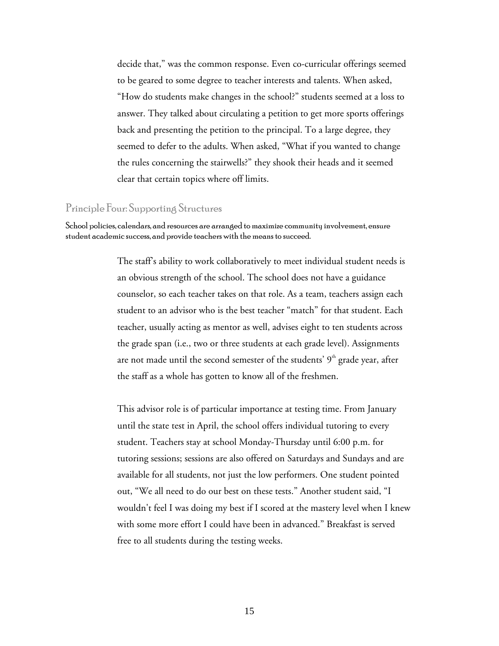decide that," was the common response. Even co-curricular offerings seemed to be geared to some degree to teacher interests and talents. When asked, "How do students make changes in the school?" students seemed at a loss to answer. They talked about circulating a petition to get more sports offerings back and presenting the petition to the principal. To a large degree, they seemed to defer to the adults. When asked, "What if you wanted to change the rules concerning the stairwells?" they shook their heads and it seemed clear that certain topics where off limits.

#### Principle Four: Supporting Structures

School policies, calendars, and resources are arranged to maximize community involvement, ensure student academic success, and provide teachers with the means to succeed.

> The staff's ability to work collaboratively to meet individual student needs is an obvious strength of the school. The school does not have a guidance counselor, so each teacher takes on that role. As a team, teachers assign each student to an advisor who is the best teacher "match" for that student. Each teacher, usually acting as mentor as well, advises eight to ten students across the grade span (i.e., two or three students at each grade level). Assignments are not made until the second semester of the students'  $9<sup>th</sup>$  grade year, after the staff as a whole has gotten to know all of the freshmen.

This advisor role is of particular importance at testing time. From January until the state test in April, the school offers individual tutoring to every student. Teachers stay at school Monday-Thursday until 6:00 p.m. for tutoring sessions; sessions are also offered on Saturdays and Sundays and are available for all students, not just the low performers. One student pointed out, "We all need to do our best on these tests." Another student said, "I wouldn't feel I was doing my best if I scored at the mastery level when I knew with some more effort I could have been in advanced." Breakfast is served free to all students during the testing weeks.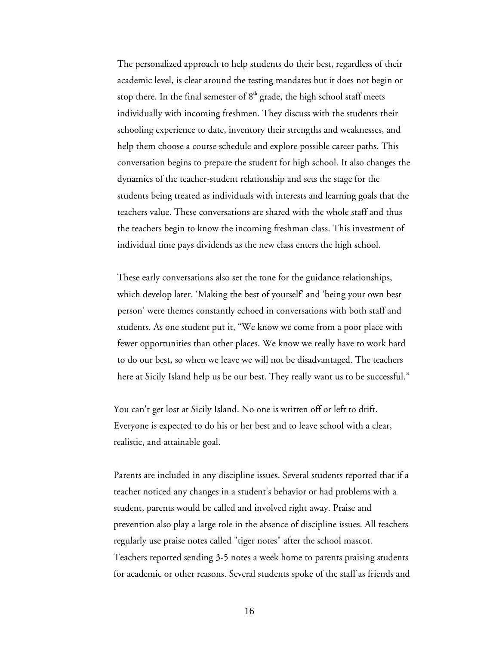The personalized approach to help students do their best, regardless of their academic level, is clear around the testing mandates but it does not begin or stop there. In the final semester of  $8<sup>th</sup>$  grade, the high school staff meets individually with incoming freshmen. They discuss with the students their schooling experience to date, inventory their strengths and weaknesses, and help them choose a course schedule and explore possible career paths. This conversation begins to prepare the student for high school. It also changes the dynamics of the teacher-student relationship and sets the stage for the students being treated as individuals with interests and learning goals that the teachers value. These conversations are shared with the whole staff and thus the teachers begin to know the incoming freshman class. This investment of individual time pays dividends as the new class enters the high school.

These early conversations also set the tone for the guidance relationships, which develop later. 'Making the best of yourself' and 'being your own best person' were themes constantly echoed in conversations with both staff and students. As one student put it, "We know we come from a poor place with fewer opportunities than other places. We know we really have to work hard to do our best, so when we leave we will not be disadvantaged. The teachers here at Sicily Island help us be our best. They really want us to be successful."

You can't get lost at Sicily Island. No one is written off or left to drift. Everyone is expected to do his or her best and to leave school with a clear, realistic, and attainable goal.

Parents are included in any discipline issues. Several students reported that if a teacher noticed any changes in a student's behavior or had problems with a student, parents would be called and involved right away. Praise and prevention also play a large role in the absence of discipline issues. All teachers regularly use praise notes called "tiger notes" after the school mascot. Teachers reported sending 3-5 notes a week home to parents praising students for academic or other reasons. Several students spoke of the staff as friends and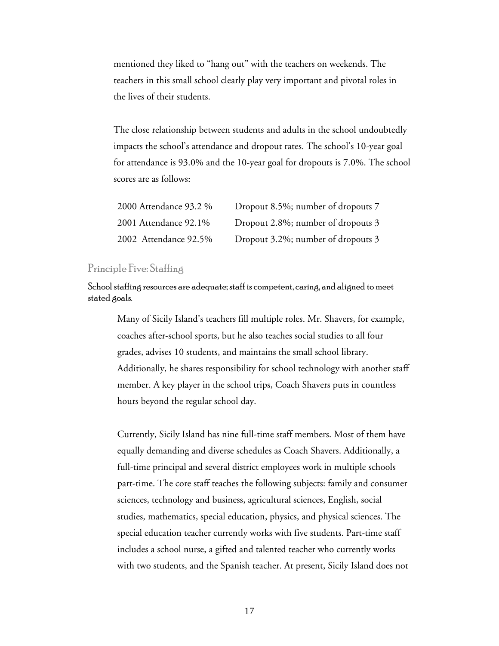mentioned they liked to "hang out" with the teachers on weekends. The teachers in this small school clearly play very important and pivotal roles in the lives of their students.

The close relationship between students and adults in the school undoubtedly impacts the school's attendance and dropout rates. The school's 10-year goal for attendance is 93.0% and the 10-year goal for dropouts is 7.0%. The school scores are as follows:

| 2000 Attendance 93.2 % | Dropout 8.5%; number of dropouts 7 |
|------------------------|------------------------------------|
| 2001 Attendance 92.1%  | Dropout 2.8%; number of dropouts 3 |
| 2002 Attendance 92.5%  | Dropout 3.2%; number of dropouts 3 |

#### Principle Five: Staffing

School staffing resources are adequate; staff is competent, caring, and aligned to meet stated goals.

Many of Sicily Island's teachers fill multiple roles. Mr. Shavers, for example, coaches after-school sports, but he also teaches social studies to all four grades, advises 10 students, and maintains the small school library. Additionally, he shares responsibility for school technology with another staff member. A key player in the school trips, Coach Shavers puts in countless hours beyond the regular school day.

Currently, Sicily Island has nine full-time staff members. Most of them have equally demanding and diverse schedules as Coach Shavers. Additionally, a full-time principal and several district employees work in multiple schools part-time. The core staff teaches the following subjects: family and consumer sciences, technology and business, agricultural sciences, English, social studies, mathematics, special education, physics, and physical sciences. The special education teacher currently works with five students. Part-time staff includes a school nurse, a gifted and talented teacher who currently works with two students, and the Spanish teacher. At present, Sicily Island does not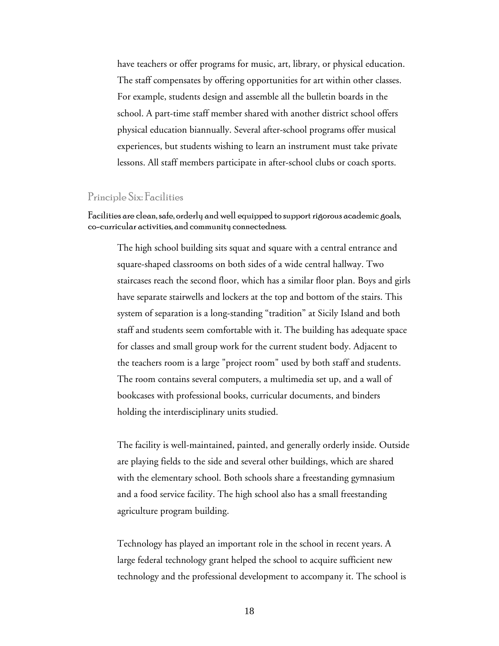have teachers or offer programs for music, art, library, or physical education. The staff compensates by offering opportunities for art within other classes. For example, students design and assemble all the bulletin boards in the school. A part-time staff member shared with another district school offers physical education biannually. Several after-school programs offer musical experiences, but students wishing to learn an instrument must take private lessons. All staff members participate in after-school clubs or coach sports.

#### Principle Six: Facilities

Facilities are clean, safe, orderly and well equipped to support rigorous academic goals, co-curricular activities, and community connectedness.

The high school building sits squat and square with a central entrance and square-shaped classrooms on both sides of a wide central hallway. Two staircases reach the second floor, which has a similar floor plan. Boys and girls have separate stairwells and lockers at the top and bottom of the stairs. This system of separation is a long-standing "tradition" at Sicily Island and both staff and students seem comfortable with it. The building has adequate space for classes and small group work for the current student body. Adjacent to the teachers room is a large "project room" used by both staff and students. The room contains several computers, a multimedia set up, and a wall of bookcases with professional books, curricular documents, and binders holding the interdisciplinary units studied.

The facility is well-maintained, painted, and generally orderly inside. Outside are playing fields to the side and several other buildings, which are shared with the elementary school. Both schools share a freestanding gymnasium and a food service facility. The high school also has a small freestanding agriculture program building.

Technology has played an important role in the school in recent years. A large federal technology grant helped the school to acquire sufficient new technology and the professional development to accompany it. The school is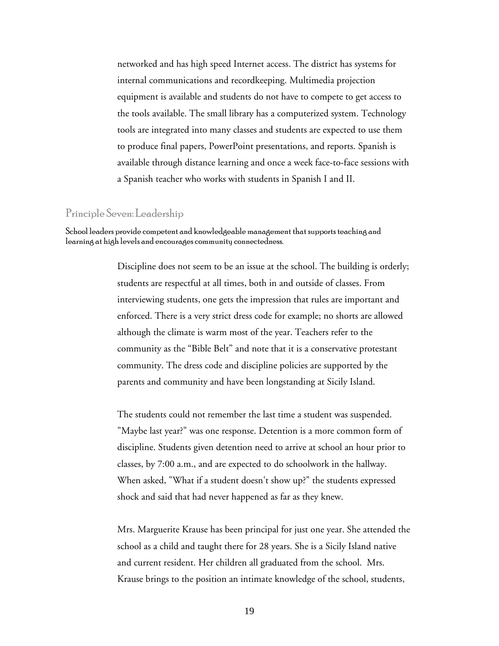networked and has high speed Internet access. The district has systems for internal communications and recordkeeping. Multimedia projection equipment is available and students do not have to compete to get access to the tools available. The small library has a computerized system. Technology tools are integrated into many classes and students are expected to use them to produce final papers, PowerPoint presentations, and reports. Spanish is available through distance learning and once a week face-to-face sessions with a Spanish teacher who works with students in Spanish I and II.

#### Principle Seven: Leadership

School leaders provide competent and knowledgeable management that supports teaching and learning at high levels and encourages community connectedness.

> Discipline does not seem to be an issue at the school. The building is orderly; students are respectful at all times, both in and outside of classes. From interviewing students, one gets the impression that rules are important and enforced. There is a very strict dress code for example; no shorts are allowed although the climate is warm most of the year. Teachers refer to the community as the "Bible Belt" and note that it is a conservative protestant community. The dress code and discipline policies are supported by the parents and community and have been longstanding at Sicily Island.

The students could not remember the last time a student was suspended. "Maybe last year?" was one response. Detention is a more common form of discipline. Students given detention need to arrive at school an hour prior to classes, by 7:00 a.m., and are expected to do schoolwork in the hallway. When asked, "What if a student doesn't show up?" the students expressed shock and said that had never happened as far as they knew.

Mrs. Marguerite Krause has been principal for just one year. She attended the school as a child and taught there for 28 years. She is a Sicily Island native and current resident. Her children all graduated from the school. Mrs. Krause brings to the position an intimate knowledge of the school, students,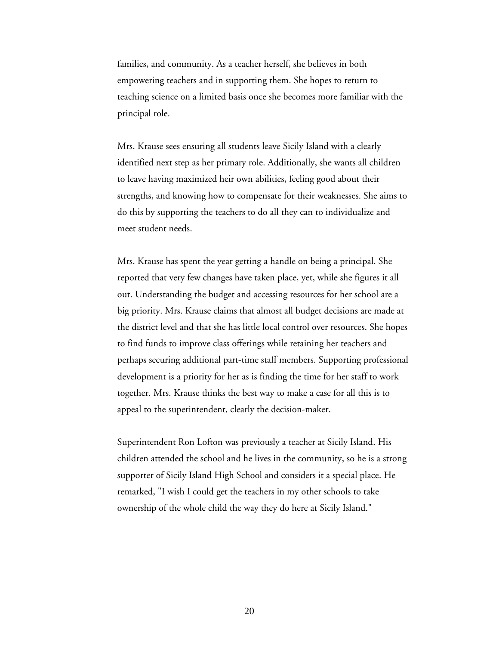families, and community. As a teacher herself, she believes in both empowering teachers and in supporting them. She hopes to return to teaching science on a limited basis once she becomes more familiar with the principal role.

Mrs. Krause sees ensuring all students leave Sicily Island with a clearly identified next step as her primary role. Additionally, she wants all children to leave having maximized heir own abilities, feeling good about their strengths, and knowing how to compensate for their weaknesses. She aims to do this by supporting the teachers to do all they can to individualize and meet student needs.

Mrs. Krause has spent the year getting a handle on being a principal. She reported that very few changes have taken place, yet, while she figures it all out. Understanding the budget and accessing resources for her school are a big priority. Mrs. Krause claims that almost all budget decisions are made at the district level and that she has little local control over resources. She hopes to find funds to improve class offerings while retaining her teachers and perhaps securing additional part-time staff members. Supporting professional development is a priority for her as is finding the time for her staff to work together. Mrs. Krause thinks the best way to make a case for all this is to appeal to the superintendent, clearly the decision-maker.

Superintendent Ron Lofton was previously a teacher at Sicily Island. His children attended the school and he lives in the community, so he is a strong supporter of Sicily Island High School and considers it a special place. He remarked, "I wish I could get the teachers in my other schools to take ownership of the whole child the way they do here at Sicily Island."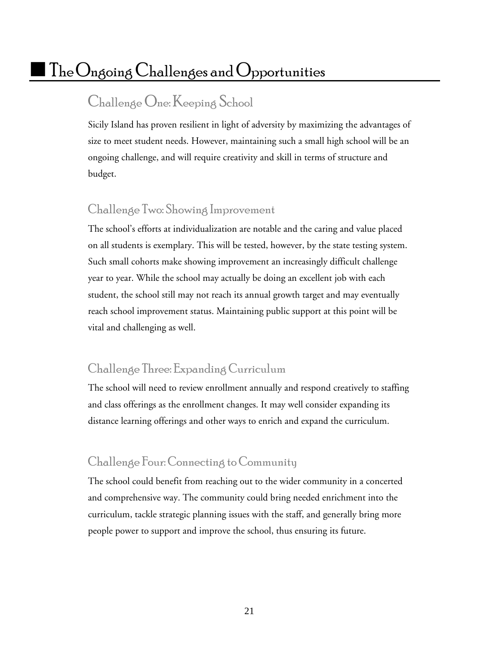# $\mid$  The $\bigcirc$ ngoing  $\bigcirc$ hallenges and  $\bigcirc$ pportunities

### Challenge One: Keeping School

Sicily Island has proven resilient in light of adversity by maximizing the advantages of size to meet student needs. However, maintaining such a small high school will be an ongoing challenge, and will require creativity and skill in terms of structure and budget.

#### Challenge Two: Showing Improvement

The school's efforts at individualization are notable and the caring and value placed on all students is exemplary. This will be tested, however, by the state testing system. Such small cohorts make showing improvement an increasingly difficult challenge year to year. While the school may actually be doing an excellent job with each student, the school still may not reach its annual growth target and may eventually reach school improvement status. Maintaining public support at this point will be vital and challenging as well.

#### Challenge Three: Expanding Curriculum

The school will need to review enrollment annually and respond creatively to staffing and class offerings as the enrollment changes. It may well consider expanding its distance learning offerings and other ways to enrich and expand the curriculum.

#### Challenge Four: Connecting to Community

The school could benefit from reaching out to the wider community in a concerted and comprehensive way. The community could bring needed enrichment into the curriculum, tackle strategic planning issues with the staff, and generally bring more people power to support and improve the school, thus ensuring its future.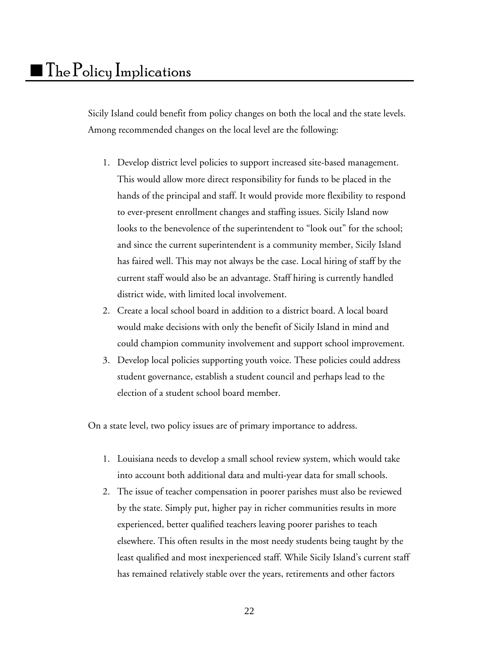Sicily Island could benefit from policy changes on both the local and the state levels. Among recommended changes on the local level are the following:

- 1. Develop district level policies to support increased site-based management. This would allow more direct responsibility for funds to be placed in the hands of the principal and staff. It would provide more flexibility to respond to ever-present enrollment changes and staffing issues. Sicily Island now looks to the benevolence of the superintendent to "look out" for the school; and since the current superintendent is a community member, Sicily Island has faired well. This may not always be the case. Local hiring of staff by the current staff would also be an advantage. Staff hiring is currently handled district wide, with limited local involvement.
- 2. Create a local school board in addition to a district board. A local board would make decisions with only the benefit of Sicily Island in mind and could champion community involvement and support school improvement.
- 3. Develop local policies supporting youth voice. These policies could address student governance, establish a student council and perhaps lead to the election of a student school board member.

On a state level, two policy issues are of primary importance to address.

- 1. Louisiana needs to develop a small school review system, which would take into account both additional data and multi-year data for small schools.
- 2. The issue of teacher compensation in poorer parishes must also be reviewed by the state. Simply put, higher pay in richer communities results in more experienced, better qualified teachers leaving poorer parishes to teach elsewhere. This often results in the most needy students being taught by the least qualified and most inexperienced staff. While Sicily Island's current staff has remained relatively stable over the years, retirements and other factors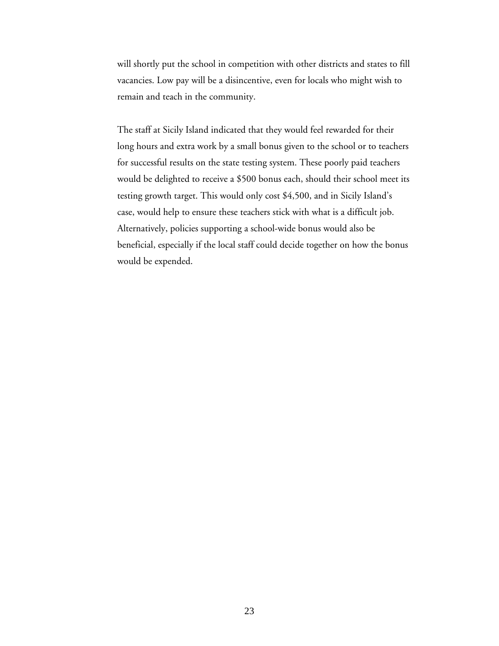will shortly put the school in competition with other districts and states to fill vacancies. Low pay will be a disincentive, even for locals who might wish to remain and teach in the community.

The staff at Sicily Island indicated that they would feel rewarded for their long hours and extra work by a small bonus given to the school or to teachers for successful results on the state testing system. These poorly paid teachers would be delighted to receive a \$500 bonus each, should their school meet its testing growth target. This would only cost \$4,500, and in Sicily Island's case, would help to ensure these teachers stick with what is a difficult job. Alternatively, policies supporting a school-wide bonus would also be beneficial, especially if the local staff could decide together on how the bonus would be expended.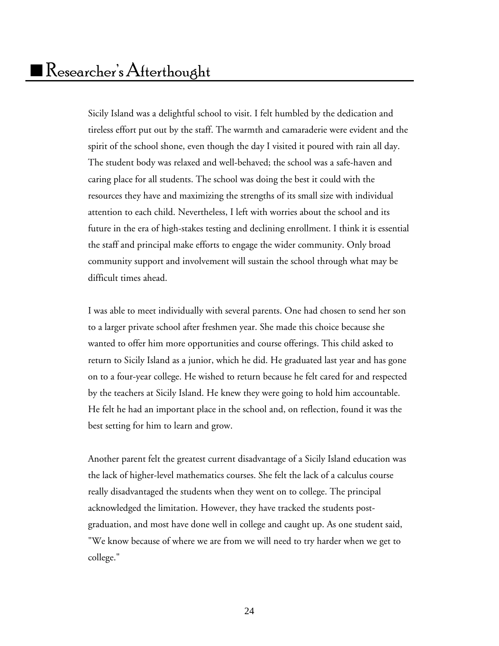Sicily Island was a delightful school to visit. I felt humbled by the dedication and tireless effort put out by the staff. The warmth and camaraderie were evident and the spirit of the school shone, even though the day I visited it poured with rain all day. The student body was relaxed and well-behaved; the school was a safe-haven and caring place for all students. The school was doing the best it could with the resources they have and maximizing the strengths of its small size with individual attention to each child. Nevertheless, I left with worries about the school and its future in the era of high-stakes testing and declining enrollment. I think it is essential the staff and principal make efforts to engage the wider community. Only broad community support and involvement will sustain the school through what may be difficult times ahead.

I was able to meet individually with several parents. One had chosen to send her son to a larger private school after freshmen year. She made this choice because she wanted to offer him more opportunities and course offerings. This child asked to return to Sicily Island as a junior, which he did. He graduated last year and has gone on to a four-year college. He wished to return because he felt cared for and respected by the teachers at Sicily Island. He knew they were going to hold him accountable. He felt he had an important place in the school and, on reflection, found it was the best setting for him to learn and grow.

Another parent felt the greatest current disadvantage of a Sicily Island education was the lack of higher-level mathematics courses. She felt the lack of a calculus course really disadvantaged the students when they went on to college. The principal acknowledged the limitation. However, they have tracked the students postgraduation, and most have done well in college and caught up. As one student said, "We know because of where we are from we will need to try harder when we get to college."